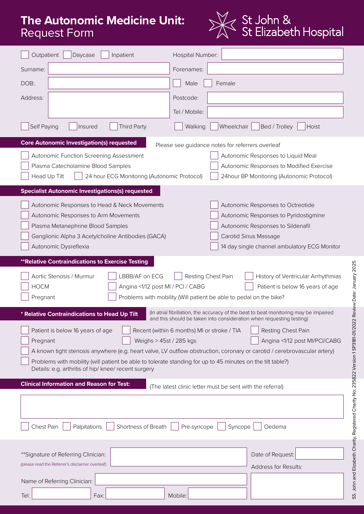# **The Autonomic Medicine Unit:**  Request Form



| Outpatient<br>Daycase<br>Inpatient                                                                                                                                                                                                                                                                                                                                                                                                                                                                                                                      | Hospital Number:                                                                                                                                                                         |  |  |  |  |  |
|---------------------------------------------------------------------------------------------------------------------------------------------------------------------------------------------------------------------------------------------------------------------------------------------------------------------------------------------------------------------------------------------------------------------------------------------------------------------------------------------------------------------------------------------------------|------------------------------------------------------------------------------------------------------------------------------------------------------------------------------------------|--|--|--|--|--|
| Surname:                                                                                                                                                                                                                                                                                                                                                                                                                                                                                                                                                | Forenames:                                                                                                                                                                               |  |  |  |  |  |
| DOB:                                                                                                                                                                                                                                                                                                                                                                                                                                                                                                                                                    | Male<br>Female                                                                                                                                                                           |  |  |  |  |  |
| Address:                                                                                                                                                                                                                                                                                                                                                                                                                                                                                                                                                | Postcode:                                                                                                                                                                                |  |  |  |  |  |
|                                                                                                                                                                                                                                                                                                                                                                                                                                                                                                                                                         | Tel / Mobile:                                                                                                                                                                            |  |  |  |  |  |
| Self Paying<br><b>Third Party</b><br>Insured                                                                                                                                                                                                                                                                                                                                                                                                                                                                                                            | Wheelchair<br>Walking<br>Bed / Trolley<br>Hoist                                                                                                                                          |  |  |  |  |  |
| <b>Core Autonomic Investigation(s) requested</b><br>Autonomic Function Screening Assessment<br>Plasma Catecholamine Blood Samples<br>Head Up Tilt<br>24 hour ECG Monitoring (Autonomic Protocol)                                                                                                                                                                                                                                                                                                                                                        | Please see guidance notes for referrers overleaf<br>Autonomic Responses to Liquid Meal<br>Autonomic Responses to Modified Exercise<br>24hour BP Monitoring (Autonomic Protocol)          |  |  |  |  |  |
| <b>Specialist Autonomic Investigations(s) requested</b>                                                                                                                                                                                                                                                                                                                                                                                                                                                                                                 |                                                                                                                                                                                          |  |  |  |  |  |
| Autonomic Responses to Head & Neck Movements<br>Autonomic Responses to Arm Movements<br>Plasma Metanephrine Blood Samples<br>Ganglionic Alpha 3 Acetylcholine Antibodies (GACA)<br>Autonomic Dysreflexia                                                                                                                                                                                                                                                                                                                                                | Autonomic Responses to Octreotide<br>Autonomic Responses to Pyridostigmine<br>Autonomic Responses to Sildenafil<br>Carotid Sinus Massage<br>14 day single channel ambulatory ECG Monitor |  |  |  |  |  |
| <b>**Relative Contraindications to Exercise Testing</b>                                                                                                                                                                                                                                                                                                                                                                                                                                                                                                 |                                                                                                                                                                                          |  |  |  |  |  |
| LBBB/AF on ECG<br>Aortic Stenosis / Murmur<br><b>HOCM</b><br>Angina <1/12 post MI / PCI / CABG<br>Pregnant                                                                                                                                                                                                                                                                                                                                                                                                                                              | Resting Chest Pain<br>History of Ventricular Arrhythmias<br>Patient is below 16 years of age<br>Problems with mobility (Will patient be able to pedal on the bike?                       |  |  |  |  |  |
| * Relative Contraindications to Head Up Tilt                                                                                                                                                                                                                                                                                                                                                                                                                                                                                                            | (In atrial fibrillation, the accuracy of the beat to beat monitoring may be impaired                                                                                                     |  |  |  |  |  |
| and this should be taken into consideration when requesting testing)<br>Patient is below 16 years of age<br>Recent (within 6 months) MI or stroke / TIA<br>Resting Chest Pain<br>Weighs > 45st / 285 kgs<br>Pregnant<br>Angina <1/12 post MI/PCI/CABG<br>A known tight stenosis anywhere (e.g. heart valve, LV outflow obstruction, coronary or carotid / cerebrovascular artery)<br>Problems with mobility (will patient be able to tolerate standing for up to 45 minutes on the tilt table?)<br>Details: e.g. arthritis of hip/ knee/ recent surgery |                                                                                                                                                                                          |  |  |  |  |  |
| <b>Clinical Information and Reason for Test:</b>                                                                                                                                                                                                                                                                                                                                                                                                                                                                                                        | (The latest clinic letter must be sent with the referral)                                                                                                                                |  |  |  |  |  |
| Chest Pain<br>Palpitations<br>Shortness of Breath<br>Pre-syncope<br>Syncope<br>Oedema                                                                                                                                                                                                                                                                                                                                                                                                                                                                   |                                                                                                                                                                                          |  |  |  |  |  |
|                                                                                                                                                                                                                                                                                                                                                                                                                                                                                                                                                         |                                                                                                                                                                                          |  |  |  |  |  |
| ** Signature of Referring Clinician:<br>(please read the Referrer's disclaimer overleaf)                                                                                                                                                                                                                                                                                                                                                                                                                                                                | Date of Request:<br>Address for Results:                                                                                                                                                 |  |  |  |  |  |
| Name of Referring Clinician:                                                                                                                                                                                                                                                                                                                                                                                                                                                                                                                            |                                                                                                                                                                                          |  |  |  |  |  |
| Tel:<br>Fax:                                                                                                                                                                                                                                                                                                                                                                                                                                                                                                                                            | Mobile:                                                                                                                                                                                  |  |  |  |  |  |